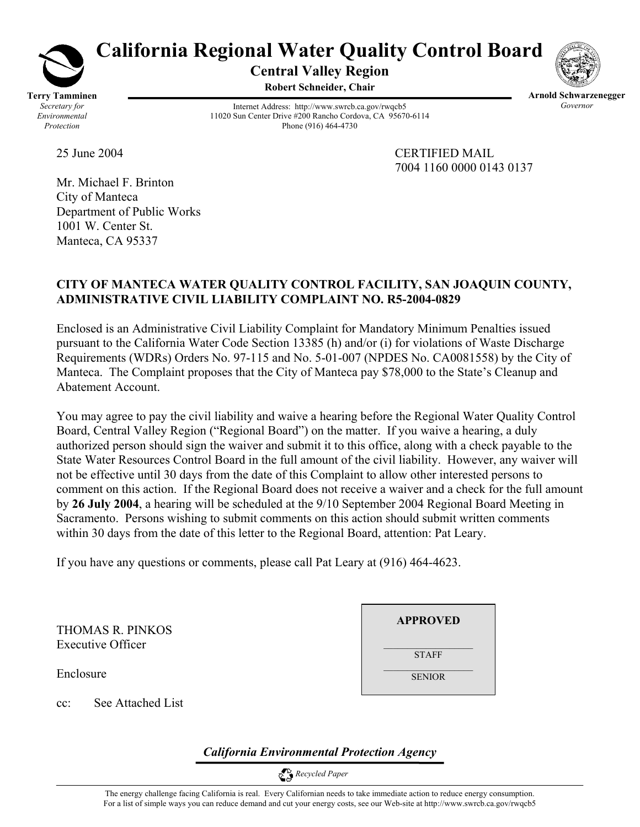

# **California Regional Water Quality Control Board**

**Central Valley Region Robert Schneider, Chair**



Internet Address: http://www.swrcb.ca.gov/rwqcb5 11020 Sun Center Drive #200 Rancho Cordova, CA 95670-6114 Phone (916) 464-4730

**Arnold Schwarzenegger** *Governor* 

Mr. Michael F. Brinton City of Manteca Department of Public Works 1001 W. Center St. Manteca, CA 95337

25 June 2004 CERTIFIED MAIL 7004 1160 0000 0143 0137

# **CITY OF MANTECA WATER QUALITY CONTROL FACILITY, SAN JOAQUIN COUNTY, ADMINISTRATIVE CIVIL LIABILITY COMPLAINT NO. R5-2004-0829**

Enclosed is an Administrative Civil Liability Complaint for Mandatory Minimum Penalties issued pursuant to the California Water Code Section 13385 (h) and/or (i) for violations of Waste Discharge Requirements (WDRs) Orders No. 97-115 and No. 5-01-007 (NPDES No. CA0081558) by the City of Manteca. The Complaint proposes that the City of Manteca pay \$78,000 to the State's Cleanup and Abatement Account.

You may agree to pay the civil liability and waive a hearing before the Regional Water Quality Control Board, Central Valley Region ("Regional Board") on the matter. If you waive a hearing, a duly authorized person should sign the waiver and submit it to this office, along with a check payable to the State Water Resources Control Board in the full amount of the civil liability. However, any waiver will not be effective until 30 days from the date of this Complaint to allow other interested persons to comment on this action. If the Regional Board does not receive a waiver and a check for the full amount by **26 July 2004**, a hearing will be scheduled at the 9/10 September 2004 Regional Board Meeting in Sacramento. Persons wishing to submit comments on this action should submit written comments within 30 days from the date of this letter to the Regional Board, attention: Pat Leary.

If you have any questions or comments, please call Pat Leary at (916) 464-4623.

THOMAS R. PINKOS Executive Officer

Enclosure

cc: See Attached List

| <b>APPROVED</b> |  |
|-----------------|--|
| <b>STAFF</b>    |  |
| <b>SENIOR</b>   |  |

*California Environmental Protection Agency*

 *Recycled Paper*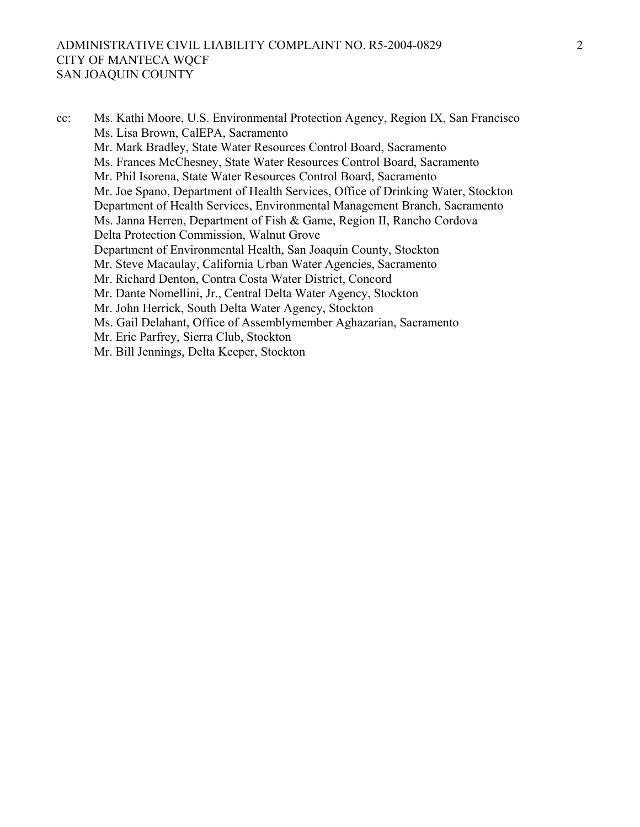#### ADMINISTRATIVE CIVIL LIABILITY COMPLAINT NO. R5-2004-0829 CITY OF MANTECA WQCF SAN JOAQUIN COUNTY

cc: Ms. Kathi Moore, U.S. Environmental Protection Agency, Region IX, San Francisco Ms. Lisa Brown, CalEPA, Sacramento Mr. Mark Bradley, State Water Resources Control Board, Sacramento Ms. Frances McChesney, State Water Resources Control Board, Sacramento Mr. Phil Isorena, State Water Resources Control Board, Sacramento Mr. Joe Spano, Department of Health Services, Office of Drinking Water, Stockton Department of Health Services, Environmental Management Branch, Sacramento Ms. Janna Herren, Department of Fish & Game, Region II, Rancho Cordova Delta Protection Commission, Walnut Grove Department of Environmental Health, San Joaquin County, Stockton Mr. Steve Macaulay, California Urban Water Agencies, Sacramento Mr. Richard Denton, Contra Costa Water District, Concord Mr. Dante Nomellini, Jr., Central Delta Water Agency, Stockton Mr. John Herrick, South Delta Water Agency, Stockton Ms. Gail Delahant, Office of Assemblymember Aghazarian, Sacramento Mr. Eric Parfrey, Sierra Club, Stockton Mr. Bill Jennings, Delta Keeper, Stockton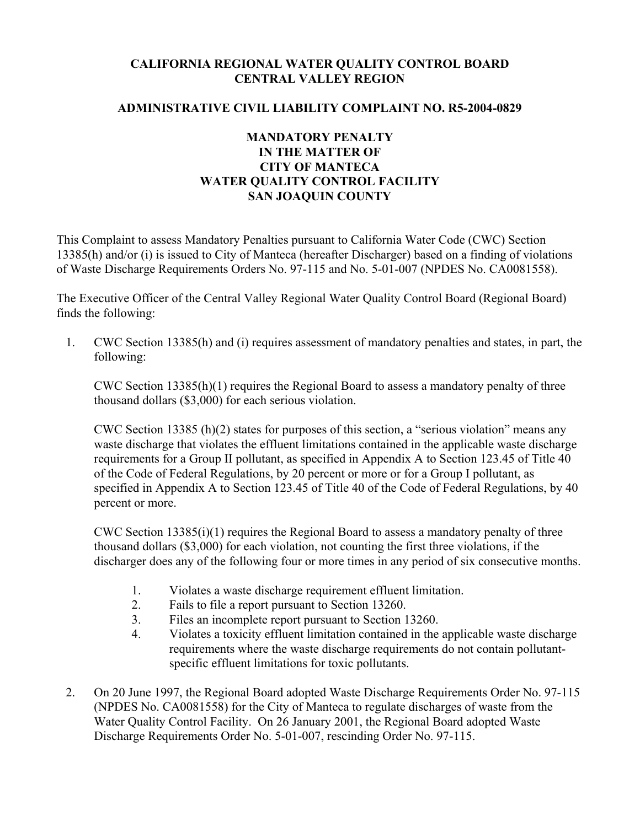# **CALIFORNIA REGIONAL WATER QUALITY CONTROL BOARD CENTRAL VALLEY REGION**

### **ADMINISTRATIVE CIVIL LIABILITY COMPLAINT NO. R5-2004-0829**

## **MANDATORY PENALTY IN THE MATTER OF CITY OF MANTECA WATER QUALITY CONTROL FACILITY SAN JOAQUIN COUNTY**

This Complaint to assess Mandatory Penalties pursuant to California Water Code (CWC) Section 13385(h) and/or (i) is issued to City of Manteca (hereafter Discharger) based on a finding of violations of Waste Discharge Requirements Orders No. 97-115 and No. 5-01-007 (NPDES No. CA0081558).

The Executive Officer of the Central Valley Regional Water Quality Control Board (Regional Board) finds the following:

1. CWC Section 13385(h) and (i) requires assessment of mandatory penalties and states, in part, the following:

CWC Section  $13385(h)(1)$  requires the Regional Board to assess a mandatory penalty of three thousand dollars (\$3,000) for each serious violation.

CWC Section 13385 (h)(2) states for purposes of this section, a "serious violation" means any waste discharge that violates the effluent limitations contained in the applicable waste discharge requirements for a Group II pollutant, as specified in Appendix A to Section 123.45 of Title 40 of the Code of Federal Regulations, by 20 percent or more or for a Group I pollutant, as specified in Appendix A to Section 123.45 of Title 40 of the Code of Federal Regulations, by 40 percent or more.

CWC Section 13385(i)(1) requires the Regional Board to assess a mandatory penalty of three thousand dollars (\$3,000) for each violation, not counting the first three violations, if the discharger does any of the following four or more times in any period of six consecutive months.

- 1. Violates a waste discharge requirement effluent limitation.
- 2. Fails to file a report pursuant to Section 13260.
- 3. Files an incomplete report pursuant to Section 13260.
- 4. Violates a toxicity effluent limitation contained in the applicable waste discharge requirements where the waste discharge requirements do not contain pollutantspecific effluent limitations for toxic pollutants.
- 2. On 20 June 1997, the Regional Board adopted Waste Discharge Requirements Order No. 97-115 (NPDES No. CA0081558) for the City of Manteca to regulate discharges of waste from the Water Quality Control Facility. On 26 January 2001, the Regional Board adopted Waste Discharge Requirements Order No. 5-01-007, rescinding Order No. 97-115.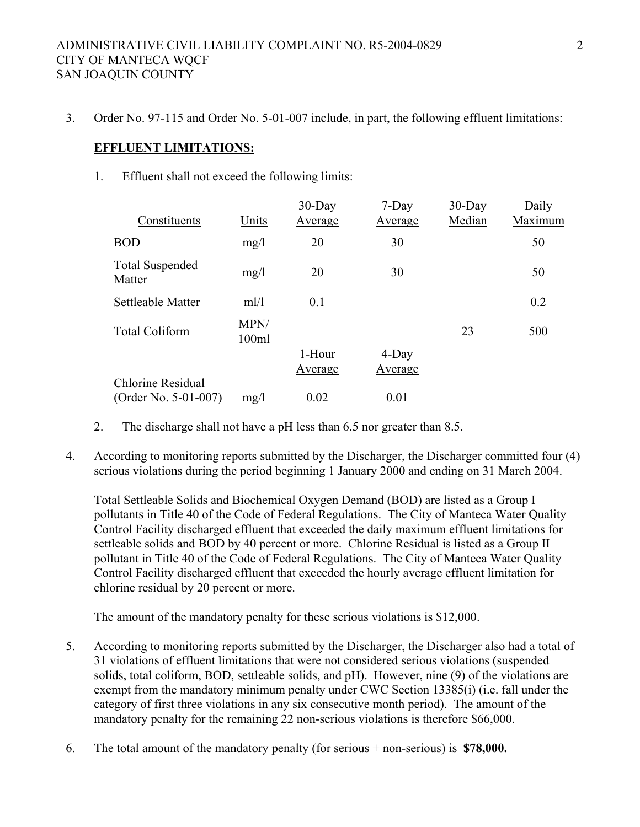3. Order No. 97-115 and Order No. 5-01-007 include, in part, the following effluent limitations:

#### **EFFLUENT LIMITATIONS:**

1. Effluent shall not exceed the following limits:

| Constituents                     | Units         | $30$ -Day<br><b>Average</b> | $7$ -Day<br>Average | $30$ -Day<br>Median | Daily<br>Maximum |
|----------------------------------|---------------|-----------------------------|---------------------|---------------------|------------------|
| <b>BOD</b>                       | mg/1          | 20                          | 30                  |                     | 50               |
| <b>Total Suspended</b><br>Matter | mg/1          | 20                          | 30                  |                     | 50               |
| Settleable Matter                | ml/1          | 0.1                         |                     |                     | 0.2              |
| <b>Total Coliform</b>            | MPN/<br>100ml |                             |                     | 23                  | 500              |
|                                  |               | 1-Hour                      | $4$ -Day            |                     |                  |
|                                  |               | Average                     | Average             |                     |                  |
| <b>Chlorine Residual</b>         |               |                             |                     |                     |                  |
| (Order No. 5-01-007)             | mg/1          | 0.02                        | 0.01                |                     |                  |

- 2. The discharge shall not have a pH less than 6.5 nor greater than 8.5.
- 4. According to monitoring reports submitted by the Discharger, the Discharger committed four (4) serious violations during the period beginning 1 January 2000 and ending on 31 March 2004.

Total Settleable Solids and Biochemical Oxygen Demand (BOD) are listed as a Group I pollutants in Title 40 of the Code of Federal Regulations. The City of Manteca Water Quality Control Facility discharged effluent that exceeded the daily maximum effluent limitations for settleable solids and BOD by 40 percent or more. Chlorine Residual is listed as a Group II pollutant in Title 40 of the Code of Federal Regulations. The City of Manteca Water Quality Control Facility discharged effluent that exceeded the hourly average effluent limitation for chlorine residual by 20 percent or more.

The amount of the mandatory penalty for these serious violations is \$12,000.

- 5. According to monitoring reports submitted by the Discharger, the Discharger also had a total of 31 violations of effluent limitations that were not considered serious violations (suspended solids, total coliform, BOD, settleable solids, and pH). However, nine (9) of the violations are exempt from the mandatory minimum penalty under CWC Section 13385(i) (i.e. fall under the category of first three violations in any six consecutive month period). The amount of the mandatory penalty for the remaining 22 non-serious violations is therefore \$66,000.
- 6. The total amount of the mandatory penalty (for serious + non-serious) is **\$78,000.**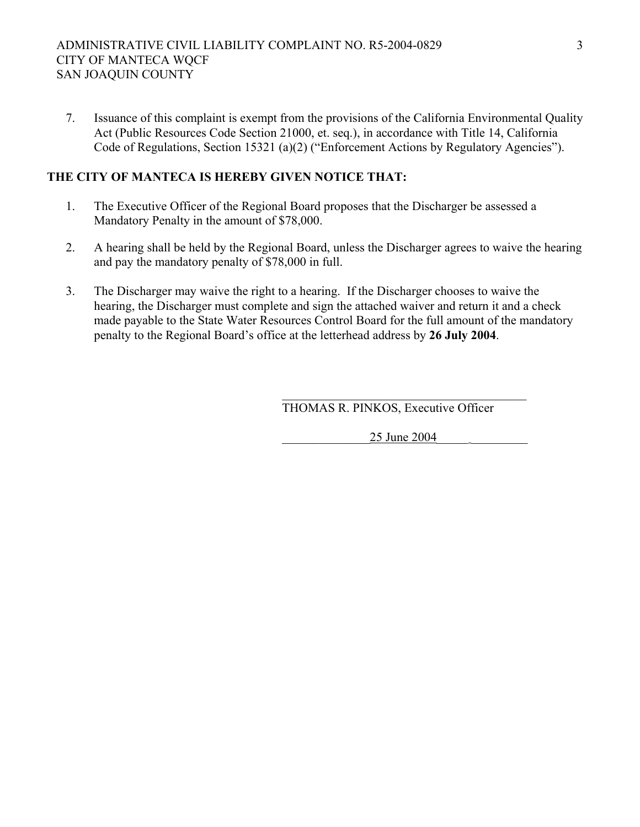7. Issuance of this complaint is exempt from the provisions of the California Environmental Quality Act (Public Resources Code Section 21000, et. seq.), in accordance with Title 14, California Code of Regulations, Section 15321 (a)(2) ("Enforcement Actions by Regulatory Agencies").

## **THE CITY OF MANTECA IS HEREBY GIVEN NOTICE THAT:**

- 1. The Executive Officer of the Regional Board proposes that the Discharger be assessed a Mandatory Penalty in the amount of \$78,000.
- 2. A hearing shall be held by the Regional Board, unless the Discharger agrees to waive the hearing and pay the mandatory penalty of \$78,000 in full.
- 3. The Discharger may waive the right to a hearing. If the Discharger chooses to waive the hearing, the Discharger must complete and sign the attached waiver and return it and a check made payable to the State Water Resources Control Board for the full amount of the mandatory penalty to the Regional Board's office at the letterhead address by **26 July 2004**.

 $\mathcal{L}_\text{max}$  and  $\mathcal{L}_\text{max}$  and  $\mathcal{L}_\text{max}$  and  $\mathcal{L}_\text{max}$  and  $\mathcal{L}_\text{max}$ THOMAS R. PINKOS, Executive Officer

\_\_\_\_\_\_\_\_\_\_\_\_\_\_25 June 2004\_\_\_\_\_ \_\_\_\_\_\_\_\_\_